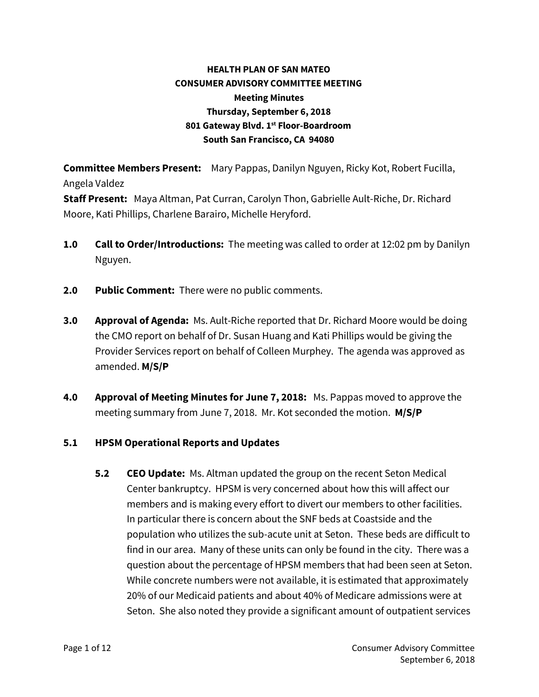## **HEALTH PLAN OF SAN MATEO CONSUMER ADVISORY COMMITTEE MEETING Meeting Minutes Thursday, September 6, 2018 801 Gateway Blvd. 1 st Floor-Boardroom South San Francisco, CA 94080**

**Committee Members Present:** Mary Pappas, Danilyn Nguyen, Ricky Kot, Robert Fucilla, Angela Valdez

**Staff Present:** Maya Altman, Pat Curran, Carolyn Thon, Gabrielle Ault-Riche, Dr. Richard Moore, Kati Phillips, Charlene Barairo, Michelle Heryford.

- **1.0 Call to Order/Introductions:** The meeting was called to order at 12:02 pm by Danilyn Nguyen.
- **2.0 Public Comment:** There were no public comments.
- **3.0 Approval of Agenda:** Ms. Ault-Riche reported that Dr. Richard Moore would be doing the CMO report on behalf of Dr. Susan Huang and Kati Phillips would be giving the Provider Services report on behalf of Colleen Murphey. The agenda was approved as amended. **M/S/P**
- **4.0 Approval of Meeting Minutes for June 7, 2018:** Ms. Pappas moved to approve the meeting summary from June 7, 2018. Mr. Kot seconded the motion. **M/S/P**

## **5.1 HPSM Operational Reports and Updates**

**5.2 CEO Update:** Ms. Altman updated the group on the recent Seton Medical Center bankruptcy. HPSM is very concerned about how this will affect our members and is making every effort to divert our members to other facilities. In particular there is concern about the SNF beds at Coastside and the population who utilizes the sub-acute unit at Seton. These beds are difficult to find in our area. Many of these units can only be found in the city. There was a question about the percentage of HPSM members that had been seen at Seton. While concrete numbers were not available, it is estimated that approximately 20% of our Medicaid patients and about 40% of Medicare admissions were at Seton. She also noted they provide a significant amount of outpatient services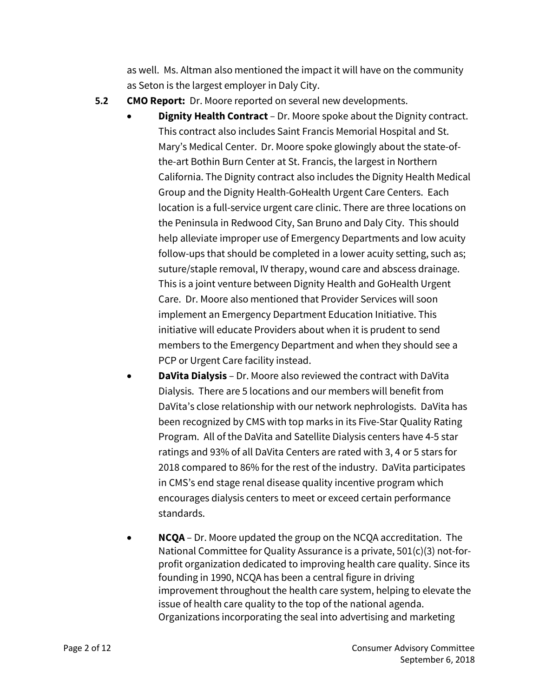as well. Ms. Altman also mentioned the impact it will have on the community as Seton is the largest employer in Daly City.

- **5.2 CMO Report:** Dr. Moore reported on several new developments.
	- **Dignity Health Contract** Dr. Moore spoke about the Dignity contract. This contract also includes Saint Francis Memorial Hospital and St. Mary's Medical Center. Dr. Moore spoke glowingly about the state-ofthe-art Bothin Burn Center at St. Francis, the largest in Northern California. The Dignity contract also includes the Dignity Health Medical Group and the Dignity Health-GoHealth Urgent Care Centers. Each location is a full-service urgent care clinic. There are three locations on the Peninsula in Redwood City, San Bruno and Daly City. This should help alleviate improper use of Emergency Departments and low acuity follow-ups that should be completed in a lower acuity setting, such as; suture/staple removal, IV therapy, wound care and abscess drainage. This is a joint venture between Dignity Health and GoHealth Urgent Care. Dr. Moore also mentioned that Provider Services will soon implement an Emergency Department Education Initiative. This initiative will educate Providers about when it is prudent to send members to the Emergency Department and when they should see a PCP or Urgent Care facility instead.
	- **DaVita Dialysis** Dr. Moore also reviewed the contract with DaVita Dialysis. There are 5 locations and our members will benefit from DaVita's close relationship with our network nephrologists. DaVita has been recognized by CMS with top marks in its Five-Star Quality Rating Program. All of the DaVita and Satellite Dialysis centers have 4-5 star ratings and 93% of all DaVita Centers are rated with 3, 4 or 5 stars for 2018 compared to 86% for the rest of the industry. DaVita participates in CMS's end stage renal disease quality incentive program which encourages dialysis centers to meet or exceed certain performance standards.
	- **NCQA** Dr. Moore updated the group on the NCQA accreditation. The National Committee for Quality Assurance is a private, 501(c)(3) not-forprofit organization dedicated to improving health care quality. Since its founding in 1990, NCQA has been a central figure in driving improvement throughout the health care system, helping to elevate the issue of health care quality to the top of the national agenda. Organizations incorporating the seal into advertising and marketing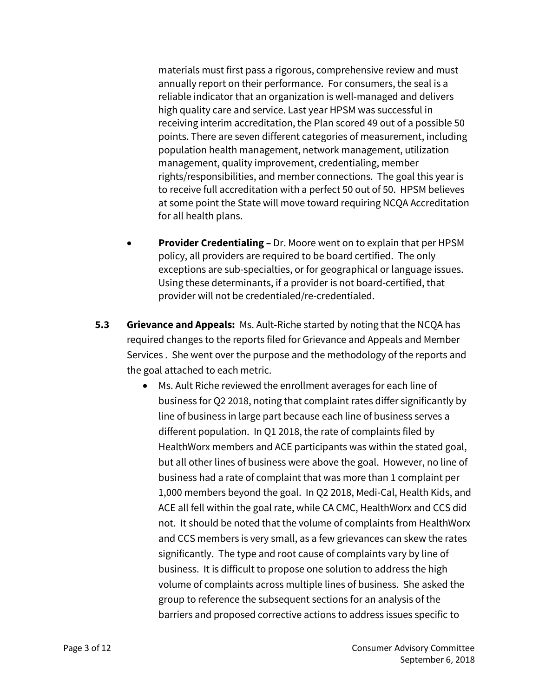materials must first pass a rigorous, comprehensive review and must annually report on their performance. For consumers, the seal is a reliable indicator that an organization is well-managed and delivers high quality care and service. Last year HPSM was successful in receiving interim accreditation, the Plan scored 49 out of a possible 50 points. There are seven different categories of measurement, including population health management, network management, utilization management, quality improvement, credentialing, member rights/responsibilities, and member connections. The goal this year is to receive full accreditation with a perfect 50 out of 50. HPSM believes at some point the State will move toward requiring NCQA Accreditation for all health plans.

- **Provider Credentialing –** Dr. Moore went on to explain that per HPSM policy, all providers are required to be board certified. The only exceptions are sub-specialties, or for geographical or language issues. Using these determinants, if a provider is not board-certified, that provider will not be credentialed/re-credentialed.
- **5.3 Grievance and Appeals:** Ms. Ault-Riche started by noting that the NCQA has required changes to the reports filed for Grievance and Appeals and Member Services . She went over the purpose and the methodology of the reports and the goal attached to each metric.
	- Ms. Ault Riche reviewed the enrollment averages for each line of business for Q2 2018, noting that complaint rates differ significantly by line of business in large part because each line of business serves a different population. In Q1 2018, the rate of complaints filed by HealthWorx members and ACE participants was within the stated goal, but all other lines of business were above the goal. However, no line of business had a rate of complaint that was more than 1 complaint per 1,000 members beyond the goal. In Q2 2018, Medi-Cal, Health Kids, and ACE all fell within the goal rate, while CA CMC, HealthWorx and CCS did not. It should be noted that the volume of complaints from HealthWorx and CCS members is very small, as a few grievances can skew the rates significantly. The type and root cause of complaints vary by line of business. It is difficult to propose one solution to address the high volume of complaints across multiple lines of business. She asked the group to reference the subsequent sections for an analysis of the barriers and proposed corrective actions to address issues specific to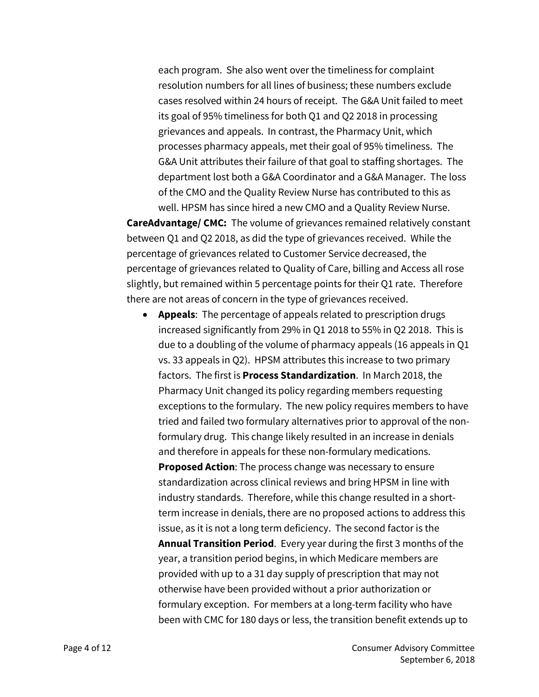each program. She also went over the timeliness for complaint resolution numbers for all lines of business; these numbers exclude cases resolved within 24 hours of receipt. The G&A Unit failed to meet its goal of 95% timeliness for both Q1 and Q2 2018 in processing grievances and appeals. In contrast, the Pharmacy Unit, which processes pharmacy appeals, met their goal of 95% timeliness. The G&A Unit attributes their failure of that goal to staffing shortages. The department lost both a G&A Coordinator and a G&A Manager. The loss of the CMO and the Quality Review Nurse has contributed to this as well. HPSM has since hired a new CMO and a Quality Review Nurse.

**CareAdvantage/ CMC:** The volume of grievances remained relatively constant between Q1 and Q2 2018, as did the type of grievances received. While the percentage of grievances related to Customer Service decreased, the percentage of grievances related to Quality of Care, billing and Access all rose slightly, but remained within 5 percentage points for their Q1 rate. Therefore there are not areas of concern in the type of grievances received.

 **Appeals**: The percentage of appeals related to prescription drugs increased significantly from 29% in Q1 2018 to 55% in Q2 2018. This is due to a doubling of the volume of pharmacy appeals (16 appeals in Q1 vs. 33 appeals in Q2). HPSM attributes this increase to two primary factors. The first is **Process Standardization**. In March 2018, the Pharmacy Unit changed its policy regarding members requesting exceptions to the formulary. The new policy requires members to have tried and failed two formulary alternatives prior to approval of the nonformulary drug. This change likely resulted in an increase in denials and therefore in appeals for these non-formulary medications. **Proposed Action**: The process change was necessary to ensure standardization across clinical reviews and bring HPSM in line with industry standards. Therefore, while this change resulted in a shortterm increase in denials, there are no proposed actions to address this issue, as it is not a long term deficiency. The second factor is the **Annual Transition Period**. Every year during the first 3 months of the year, a transition period begins, in which Medicare members are provided with up to a 31 day supply of prescription that may not otherwise have been provided without a prior authorization or formulary exception. For members at a long-term facility who have been with CMC for 180 days or less, the transition benefit extends up to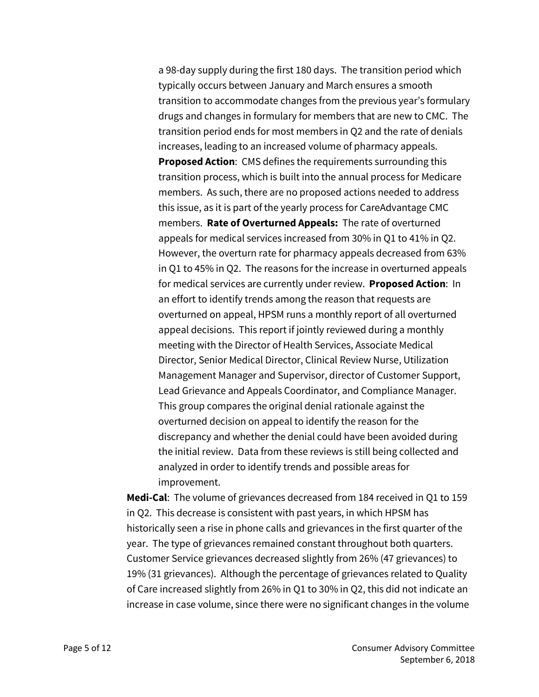a 98-day supply during the first 180 days. The transition period which typically occurs between January and March ensures a smooth transition to accommodate changes from the previous year's formulary drugs and changes in formulary for members that are new to CMC. The transition period ends for most members in Q2 and the rate of denials increases, leading to an increased volume of pharmacy appeals. **Proposed Action**: CMS defines the requirements surrounding this transition process, which is built into the annual process for Medicare members. As such, there are no proposed actions needed to address this issue, as it is part of the yearly process for CareAdvantage CMC members. **Rate of Overturned Appeals:** The rate of overturned appeals for medical services increased from 30% in Q1 to 41% in Q2. However, the overturn rate for pharmacy appeals decreased from 63% in Q1 to 45% in Q2. The reasons for the increase in overturned appeals for medical services are currently under review. **Proposed Action**: In an effort to identify trends among the reason that requests are overturned on appeal, HPSM runs a monthly report of all overturned appeal decisions. This report if jointly reviewed during a monthly meeting with the Director of Health Services, Associate Medical Director, Senior Medical Director, Clinical Review Nurse, Utilization Management Manager and Supervisor, director of Customer Support, Lead Grievance and Appeals Coordinator, and Compliance Manager. This group compares the original denial rationale against the overturned decision on appeal to identify the reason for the discrepancy and whether the denial could have been avoided during the initial review. Data from these reviews is still being collected and analyzed in order to identify trends and possible areas for improvement.

**Medi-Cal**: The volume of grievances decreased from 184 received in Q1 to 159 in Q2. This decrease is consistent with past years, in which HPSM has historically seen a rise in phone calls and grievances in the first quarter ofthe year. The type of grievances remained constant throughout both quarters. Customer Service grievances decreased slightly from 26% (47 grievances) to 19% (31 grievances). Although the percentage of grievances related to Quality of Care increased slightly from 26% in Q1 to 30% in Q2, this did not indicate an increase in case volume, since there were no significant changes in the volume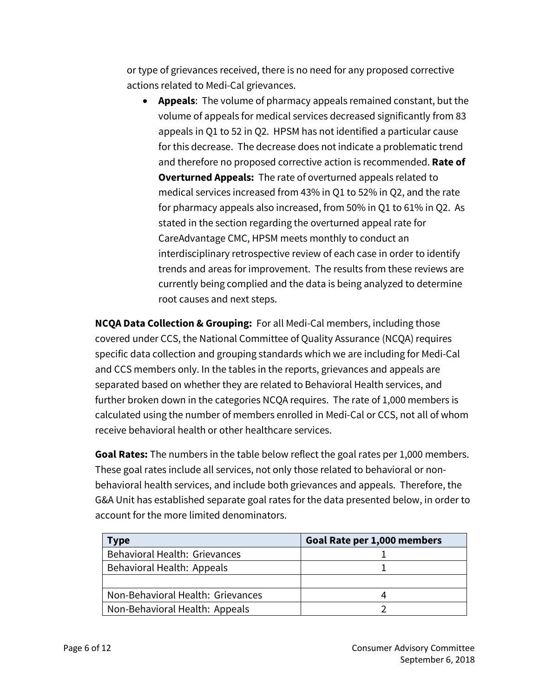or type of grievances received, there is no need for any proposed corrective actions related to Medi-Cal grievances.

 **Appeals**: The volume of pharmacy appeals remained constant, but the volume of appeals for medical services decreased significantly from 83 appeals in Q1 to 52 in Q2. HPSM has not identified a particular cause for this decrease. The decrease does not indicate a problematic trend and therefore no proposed corrective action is recommended. **Rate of Overturned Appeals:** The rate of overturned appeals related to medical services increased from 43% in Q1 to 52% in Q2, and the rate for pharmacy appeals also increased, from 50% in Q1 to 61% in Q2. As stated in the section regarding the overturned appeal rate for CareAdvantage CMC, HPSM meets monthly to conduct an interdisciplinary retrospective review of each case in order to identify trends and areas for improvement. The results from these reviews are currently being complied and the data is being analyzed to determine root causes and next steps.

**NCQA Data Collection & Grouping:** For all Medi-Cal members, including those covered under CCS, the National Committee of Quality Assurance (NCQA) requires specific data collection and grouping standards which we are including for Medi-Cal and CCS members only. In the tables in the reports, grievances and appeals are separated based on whether they are related to Behavioral Health services, and further broken down in the categories NCQA requires. The rate of 1,000 members is calculated using the number of membersenrolled in Medi-Cal or CCS, not all of whom receive behavioral health or other healthcare services.

**Goal Rates:** The numbers in the table below reflect the goal rates per 1,000 members. These goal rates include all services, not only those related to behavioral or nonbehavioral health services, and include both grievances and appeals. Therefore, the G&A Unit has established separate goal rates for the data presented below, in order to account for the more limited denominators.

| <b>Type</b>                       | Goal Rate per 1,000 members |
|-----------------------------------|-----------------------------|
| Behavioral Health: Grievances     |                             |
| Behavioral Health: Appeals        |                             |
|                                   |                             |
| Non-Behavioral Health: Grievances |                             |
| Non-Behavioral Health: Appeals    |                             |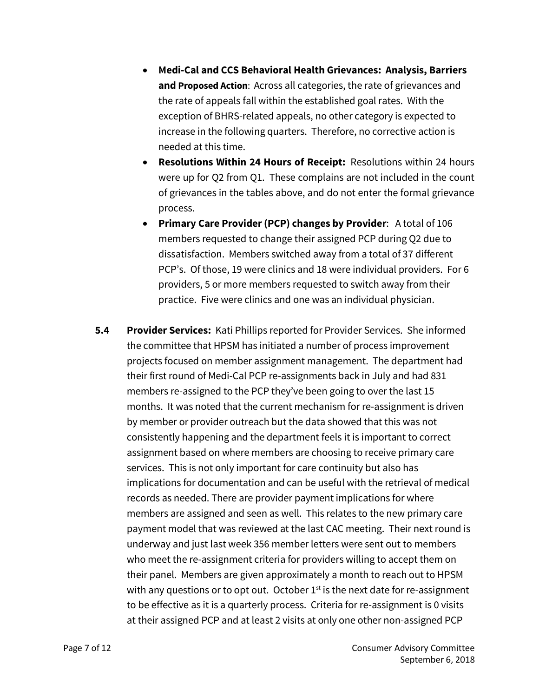- **Medi-Cal and CCS Behavioral Health Grievances: Analysis, Barriers and Proposed Action**: Across all categories, the rate of grievances and the rate of appeals fall within the established goal rates. With the exception of BHRS-related appeals, no other category is expected to increase in the following quarters. Therefore, no corrective action is needed at this time.
- **Resolutions Within 24 Hours of Receipt:** Resolutions within 24 hours were up for Q2 from Q1. These complains are not included in the count of grievances in the tables above, and do not enter the formal grievance process.
- **Primary Care Provider(PCP) changes by Provider**: A total of 106 members requested to change their assigned PCP during Q2 due to dissatisfaction. Members switched away from a total of 37 different PCP's. Of those, 19 were clinics and 18 were individual providers. For 6 providers, 5 or more members requested to switch away from their practice. Five were clinics and one was an individual physician.
- **5.4 Provider Services:** Kati Phillips reported for Provider Services. She informed the committee that HPSM has initiated a number of process improvement projects focused on member assignment management. The department had their first round of Medi-Cal PCP re-assignments back in July and had 831 members re-assigned to the PCP they've been going to over the last 15 months. It was noted that the current mechanism for re-assignment is driven by member or provider outreach but the data showed that this was not consistently happening and the department feels it is important to correct assignment based on where members are choosing to receive primary care services. This is not only important for care continuity but also has implications for documentation and can be useful with the retrieval of medical records as needed. There are provider payment implications for where members are assigned and seen as well. This relates to the new primary care payment model that was reviewed at the last CAC meeting. Their next round is underway and just last week 356 member letters were sent out to members who meet the re-assignment criteria for providers willing to accept them on their panel. Members are given approximately a month to reach out to HPSM with any questions or to opt out. October  $1<sup>st</sup>$  is the next date for re-assignment to be effective as it is a quarterly process. Criteria for re-assignment is 0 visits at their assigned PCP and at least 2 visits at only one other non-assigned PCP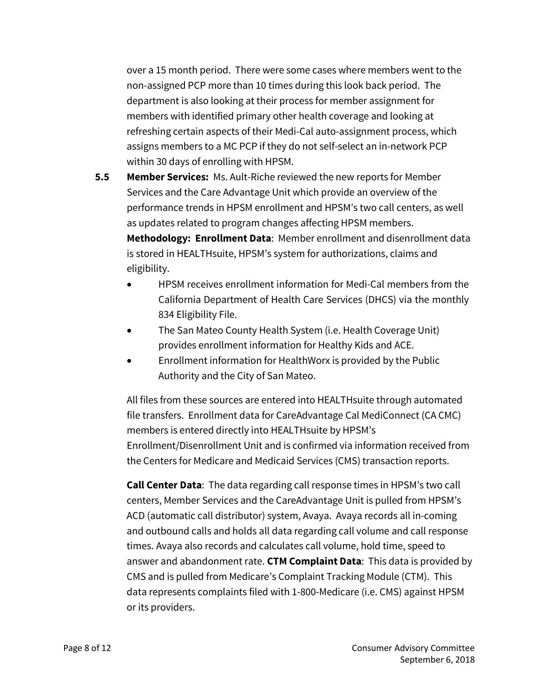over a 15 month period. There were some cases where members went to the non-assigned PCP more than 10 times during this look back period. The department is also looking at their process for member assignment for members with identified primary other health coverage and looking at refreshing certain aspects of their Medi-Cal auto-assignment process, which assigns members to a MC PCP if they do not self-select an in-network PCP within 30 days of enrolling with HPSM.

- **5.5 Member Services:** Ms. Ault-Riche reviewed the new reports for Member Services and the Care Advantage Unit which provide an overview of the performance trends in HPSM enrollment and HPSM's two call centers, as well as updates related to program changes affecting HPSM members. **Methodology: Enrollment Data**: Member enrollment and disenrollment data is stored in HEALTHsuite, HPSM's system for authorizations, claims and eligibility.
	- HPSM receives enrollment information for Medi-Cal members from the California Department of Health Care Services (DHCS) via the monthly 834 Eligibility File.
	- The San Mateo County Health System (i.e. Health Coverage Unit) provides enrollment information for Healthy Kids and ACE.
	- Enrollment information for HealthWorx is provided by the Public Authority and the City of San Mateo.

All files from these sources are entered into HEALTHsuite through automated file transfers. Enrollment data for CareAdvantage Cal MediConnect (CA CMC) members is entered directly into HEALTHsuite by HPSM's Enrollment/Disenrollment Unit and is confirmed via information received from the Centers for Medicare and Medicaid Services (CMS) transaction reports.

**Call Center Data**: The data regarding call response times in HPSM's two call centers, Member Services and the CareAdvantage Unit is pulled from HPSM's ACD (automatic call distributor) system, Avaya. Avaya records all in-coming and outbound calls and holds all data regarding call volume and call response times. Avaya also records and calculates call volume, hold time, speed to answer and abandonment rate. **CTM Complaint Data**: This data is provided by CMS and is pulled from Medicare's Complaint Tracking Module (CTM). This data represents complaints filed with 1-800-Medicare (i.e. CMS) against HPSM or its providers.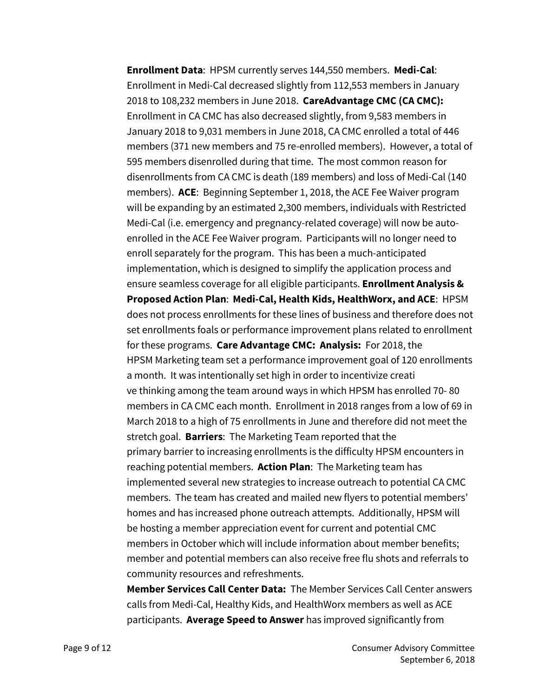**Enrollment Data**: HPSM currently serves 144,550 members. **Medi-Cal**: Enrollment in Medi-Cal decreased slightly from 112,553 members in January 2018 to 108,232 members in June 2018. **CareAdvantage CMC (CA CMC):** Enrollment in CA CMC has also decreased slightly, from 9,583 members in January 2018 to 9,031 members in June 2018, CA CMC enrolled a total of 446 members (371 new members and 75 re-enrolled members). However, a total of 595 members disenrolled during that time. The most common reason for disenrollments from CA CMC is death (189 members) and loss of Medi-Cal (140 members). **ACE**: Beginning September 1, 2018, the ACE Fee Waiver program will be expanding by an estimated 2,300 members, individuals with Restricted Medi-Cal (i.e. emergency and pregnancy-related coverage) will now be autoenrolled in the ACE Fee Waiver program. Participants will no longer need to enroll separately for the program. This has been a much-anticipated implementation, which is designed to simplify the application process and ensure seamless coverage for all eligible participants. **Enrollment Analysis & Proposed Action Plan**: **Medi-Cal, Health Kids, HealthWorx, and ACE**: HPSM does not process enrollments for these lines of business and therefore does not set enrollments foals or performance improvement plans related to enrollment for these programs. **Care Advantage CMC: Analysis:** For 2018, the HPSM Marketing team set a performance improvement goal of 120 enrollments a month. It was intentionally set high in order to incentivize creati ve thinking among the team around ways in which HPSM has enrolled 70- 80 members in CA CMC each month. Enrollment in 2018 ranges from a low of 69 in March 2018 to a high of 75 enrollments in June and therefore did not meet the stretch goal. **Barriers**: The Marketing Team reported that the primary barrier to increasing enrollments is the difficulty HPSM encounters in reaching potential members. **Action Plan**: The Marketing team has implemented several new strategies to increase outreach to potential CA CMC members. The team has created and mailed new flyers to potential members' homes and has increased phone outreach attempts. Additionally, HPSM will be hosting a member appreciation event for current and potential CMC members in October which will include information about member benefits; member and potential members can also receive free flu shots and referrals to community resources and refreshments.

**Member Services Call Center Data:** The Member Services Call Center answers calls from Medi-Cal, Healthy Kids, and HealthWorx members as well as ACE participants. **Average Speed to Answer** has improved significantly from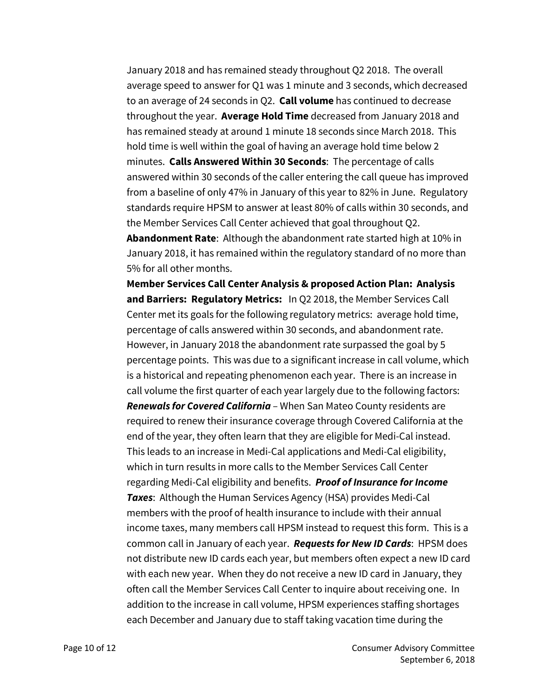January 2018 and has remained steady throughout Q2 2018. The overall average speed to answer for Q1 was 1 minute and 3 seconds, which decreased to an average of 24 seconds in Q2. **Call volume** has continued to decrease throughout the year. **Average Hold Time** decreased from January 2018 and has remained steady at around 1 minute 18 seconds since March 2018. This hold time is well within the goal of having an average hold time below 2 minutes. **Calls Answered Within 30 Seconds**: The percentage of calls answered within 30 seconds of the caller entering the call queue has improved from a baseline of only 47% in January of this year to 82% in June. Regulatory standards require HPSM to answer at least 80% of calls within 30 seconds, and the Member Services Call Center achieved that goal throughout Q2.

**Abandonment Rate**: Although the abandonment rate started high at 10% in January 2018, it has remained within the regulatory standard of no more than 5% for all other months.

**Member Services Call Center Analysis & proposed Action Plan: Analysis and Barriers: Regulatory Metrics:** In Q2 2018, the Member Services Call Center met its goals for the following regulatory metrics: average hold time, percentage of calls answered within 30 seconds, and abandonment rate. However, in January 2018 the abandonment rate surpassed the goal by 5 percentage points. This was due to a significant increase in call volume, which is a historical and repeating phenomenon each year. There is an increase in call volume the first quarter of each year largely due to the following factors: *Renewals for Covered California* – When San Mateo County residents are required to renew their insurance coverage through Covered California at the end of the year, they often learn that they are eligible for Medi-Cal instead. This leads to an increase in Medi-Cal applications and Medi-Cal eligibility, which in turn results in more calls to the Member Services Call Center regarding Medi-Cal eligibility and benefits. *Proof of Insurance for Income Taxes*: Although the Human Services Agency (HSA) provides Medi-Cal members with the proof of health insurance to include with their annual income taxes, many members call HPSM instead to request this form. This is a common call in January of each year. *Requests for New ID Cards*: HPSM does not distribute new ID cards each year, but members often expect a new ID card with each new year. When they do not receive a new ID card in January, they often call the Member Services Call Center to inquire about receiving one. In addition to the increase in call volume, HPSM experiences staffing shortages each December and January due to staff taking vacation time during the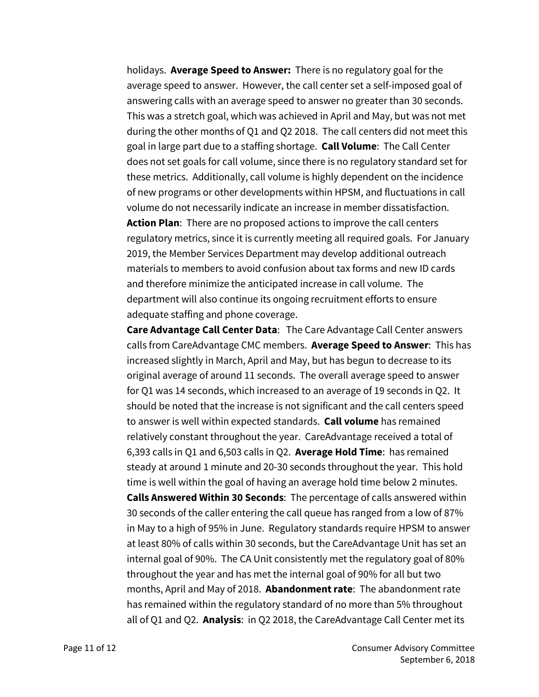holidays. **Average Speed to Answer:** There is no regulatory goal for the average speed to answer. However, the call center set a self-imposed goal of answering calls with an average speed to answer no greater than 30 seconds. This was a stretch goal, which was achieved in April and May, but was not met during the other months of Q1 and Q2 2018. The call centers did not meet this goal in large part due to a staffing shortage. **Call Volume**: The Call Center does not set goals for call volume, since there is no regulatory standard set for these metrics. Additionally, call volume is highly dependent on the incidence of new programs or other developments within HPSM, and fluctuations in call volume do not necessarily indicate an increase in member dissatisfaction. **Action Plan**: There are no proposed actions to improve the call centers regulatory metrics, since it is currently meeting all required goals. For January 2019, the Member Services Department may develop additional outreach materials to members to avoid confusion about tax forms and new ID cards and therefore minimize the anticipated increase in call volume. The department will also continue its ongoing recruitment efforts to ensure adequate staffing and phone coverage.

**Care Advantage Call Center Data**: The Care Advantage Call Center answers calls from CareAdvantage CMC members. **Average Speed to Answer**: This has increased slightly in March, April and May, but has begun to decrease to its original average of around 11 seconds. The overall average speed to answer for Q1 was 14 seconds, which increased to an average of 19 seconds in Q2. It should be noted that the increase is not significant and the call centers speed to answer is well within expected standards. **Call volume** has remained relatively constant throughout the year. CareAdvantage received a total of 6,393 calls in Q1 and 6,503 calls in Q2. **Average Hold Time**: has remained steady at around 1 minute and 20-30 seconds throughout the year. This hold time is well within the goal of having an average hold time below 2 minutes. **Calls Answered Within 30 Seconds**: The percentage of calls answered within 30 seconds of the callerentering the call queue has ranged from a low of 87% in May to a high of 95% in June. Regulatory standards require HPSM to answer at least 80% of calls within 30 seconds, but the CareAdvantage Unit has set an internal goal of 90%. The CA Unit consistently met the regulatory goal of 80% throughout the year and has met the internal goal of 90% for all but two months, April and May of 2018. **Abandonment rate**: The abandonment rate has remained within the regulatory standard of no more than 5% throughout all of Q1 and Q2. **Analysis**: in Q2 2018, the CareAdvantage Call Center met its